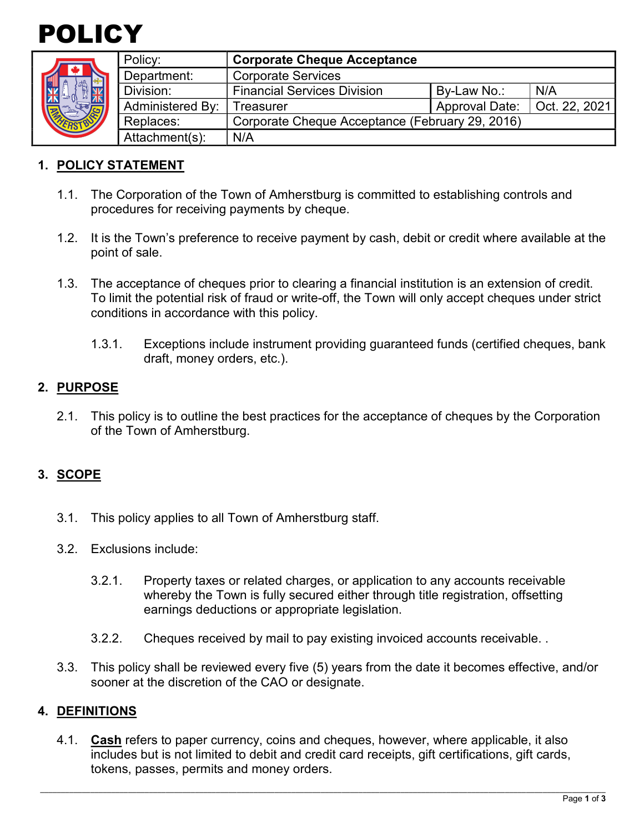



| Policy:                 | <b>Corporate Cheque Acceptance</b>              |                       |               |
|-------------------------|-------------------------------------------------|-----------------------|---------------|
| Department:             | <b>Corporate Services</b>                       |                       |               |
| Division:               | <b>Financial Services Division</b>              | By-Law No.:           | N/A           |
| <b>Administered By:</b> | Treasurer                                       | <b>Approval Date:</b> | Oct. 22, 2021 |
| Replaces:               | Corporate Cheque Acceptance (February 29, 2016) |                       |               |
| Attachment(s):          | N/A                                             |                       |               |

### **1. POLICY STATEMENT**

- 1.1. The Corporation of the Town of Amherstburg is committed to establishing controls and procedures for receiving payments by cheque.
- 1.2. It is the Town's preference to receive payment by cash, debit or credit where available at the point of sale.
- 1.3. The acceptance of cheques prior to clearing a financial institution is an extension of credit. To limit the potential risk of fraud or write-off, the Town will only accept cheques under strict conditions in accordance with this policy.
	- 1.3.1. Exceptions include instrument providing guaranteed funds (certified cheques, bank draft, money orders, etc.).

#### **2. PURPOSE**

2.1. This policy is to outline the best practices for the acceptance of cheques by the Corporation of the Town of Amherstburg.

### **3. SCOPE**

- 3.1. This policy applies to all Town of Amherstburg staff.
- 3.2. Exclusions include:
	- 3.2.1. Property taxes or related charges, or application to any accounts receivable whereby the Town is fully secured either through title registration, offsetting earnings deductions or appropriate legislation.
	- 3.2.2. Cheques received by mail to pay existing invoiced accounts receivable. .
- 3.3. This policy shall be reviewed every five (5) years from the date it becomes effective, and/or sooner at the discretion of the CAO or designate.

#### **4. DEFINITIONS**

4.1. **Cash** refers to paper currency, coins and cheques, however, where applicable, it also includes but is not limited to debit and credit card receipts, gift certifications, gift cards, tokens, passes, permits and money orders.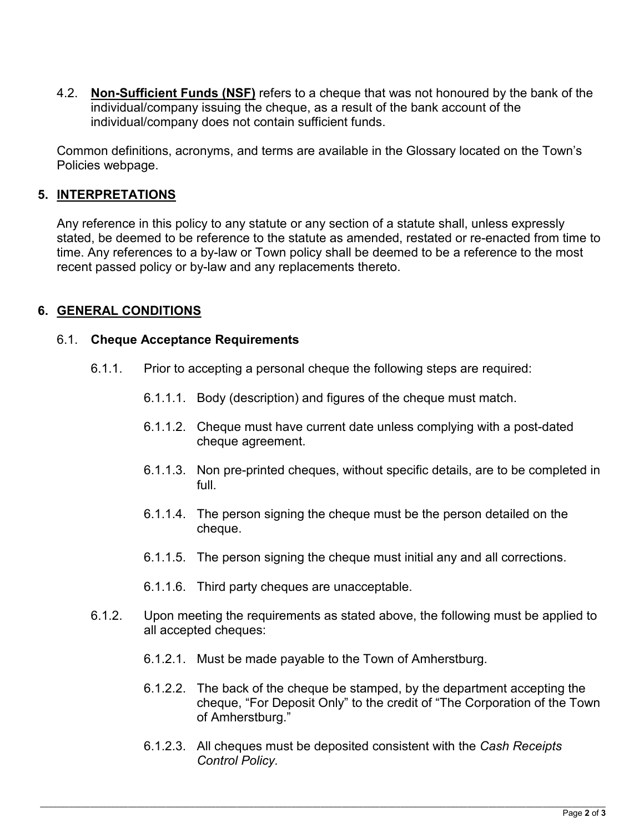4.2. **Non-Sufficient Funds (NSF)** refers to a cheque that was not honoured by the bank of the individual/company issuing the cheque, as a result of the bank account of the individual/company does not contain sufficient funds.

Common definitions, acronyms, and terms are available in the Glossary located on the Town's Policies webpage.

### **5. INTERPRETATIONS**

Any reference in this policy to any statute or any section of a statute shall, unless expressly stated, be deemed to be reference to the statute as amended, restated or re-enacted from time to time. Any references to a by-law or Town policy shall be deemed to be a reference to the most recent passed policy or by-law and any replacements thereto.

#### **6. GENERAL CONDITIONS**

#### 6.1. **Cheque Acceptance Requirements**

- 6.1.1. Prior to accepting a personal cheque the following steps are required:
	- 6.1.1.1. Body (description) and figures of the cheque must match.
	- 6.1.1.2. Cheque must have current date unless complying with a post-dated cheque agreement.
	- 6.1.1.3. Non pre-printed cheques, without specific details, are to be completed in full.
	- 6.1.1.4. The person signing the cheque must be the person detailed on the cheque.
	- 6.1.1.5. The person signing the cheque must initial any and all corrections.
	- 6.1.1.6. Third party cheques are unacceptable.
- 6.1.2. Upon meeting the requirements as stated above, the following must be applied to all accepted cheques:
	- 6.1.2.1. Must be made payable to the Town of Amherstburg.
	- 6.1.2.2. The back of the cheque be stamped, by the department accepting the cheque, "For Deposit Only" to the credit of "The Corporation of the Town of Amherstburg."
	- 6.1.2.3. All cheques must be deposited consistent with the *Cash Receipts Control Policy.*